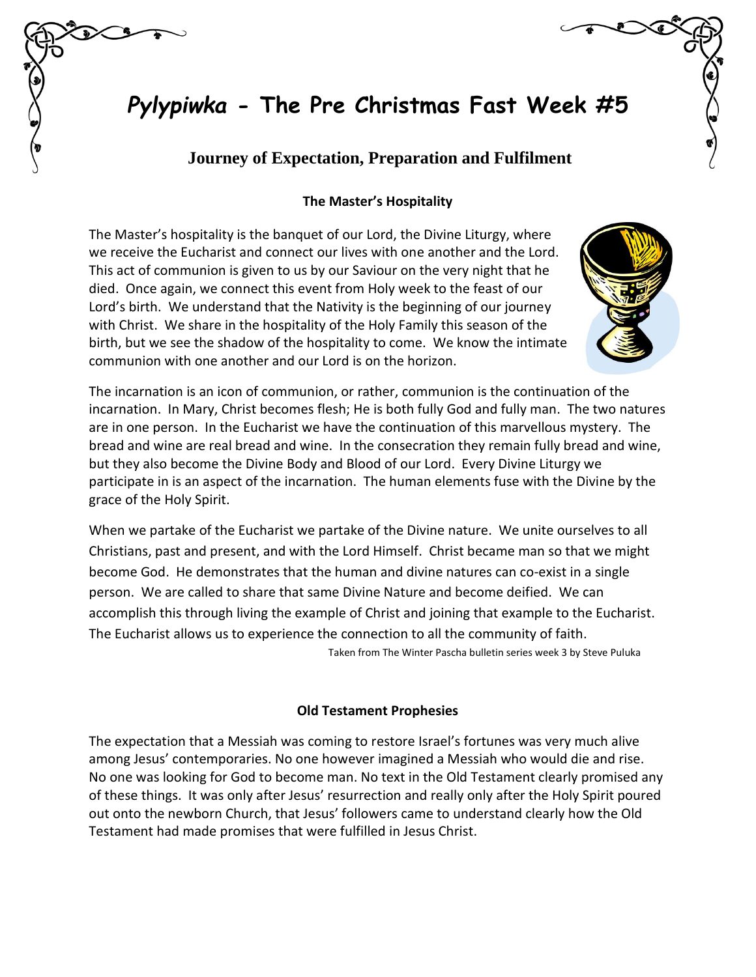# *Pylypiwka* **- The Pre Christmas Fast Week #5**

## **Journey of Expectation, Preparation and Fulfilment**

## **The Master's Hospitality**

The Master's hospitality is the banquet of our Lord, the Divine Liturgy, where we receive the Eucharist and connect our lives with one another and the Lord. This act of communion is given to us by our Saviour on the very night that he died. Once again, we connect this event from Holy week to the feast of our Lord's birth. We understand that the Nativity is the beginning of our journey with Christ. We share in the hospitality of the Holy Family this season of the birth, but we see the shadow of the hospitality to come. We know the intimate communion with one another and our Lord is on the horizon.



The incarnation is an icon of communion, or rather, communion is the continuation of the incarnation. In Mary, Christ becomes flesh; He is both fully God and fully man. The two natures are in one person. In the Eucharist we have the continuation of this marvellous mystery. The bread and wine are real bread and wine. In the consecration they remain fully bread and wine, but they also become the Divine Body and Blood of our Lord. Every Divine Liturgy we participate in is an aspect of the incarnation. The human elements fuse with the Divine by the grace of the Holy Spirit.

When we partake of the Eucharist we partake of the Divine nature. We unite ourselves to all Christians, past and present, and with the Lord Himself. Christ became man so that we might become God. He demonstrates that the human and divine natures can co-exist in a single person. We are called to share that same Divine Nature and become deified. We can accomplish this through living the example of Christ and joining that example to the Eucharist. The Eucharist allows us to experience the connection to all the community of faith. Taken from The Winter Pascha bulletin series week 3 by Steve Puluka

### **Old Testament Prophesies**

The expectation that a Messiah was coming to restore Israel's fortunes was very much alive among Jesus' contemporaries. No one however imagined a Messiah who would die and rise. No one was looking for God to become man. No text in the Old Testament clearly promised any of these things. It was only after Jesus' resurrection and really only after the Holy Spirit poured out onto the newborn Church, that Jesus' followers came to understand clearly how the Old Testament had made promises that were fulfilled in Jesus Christ.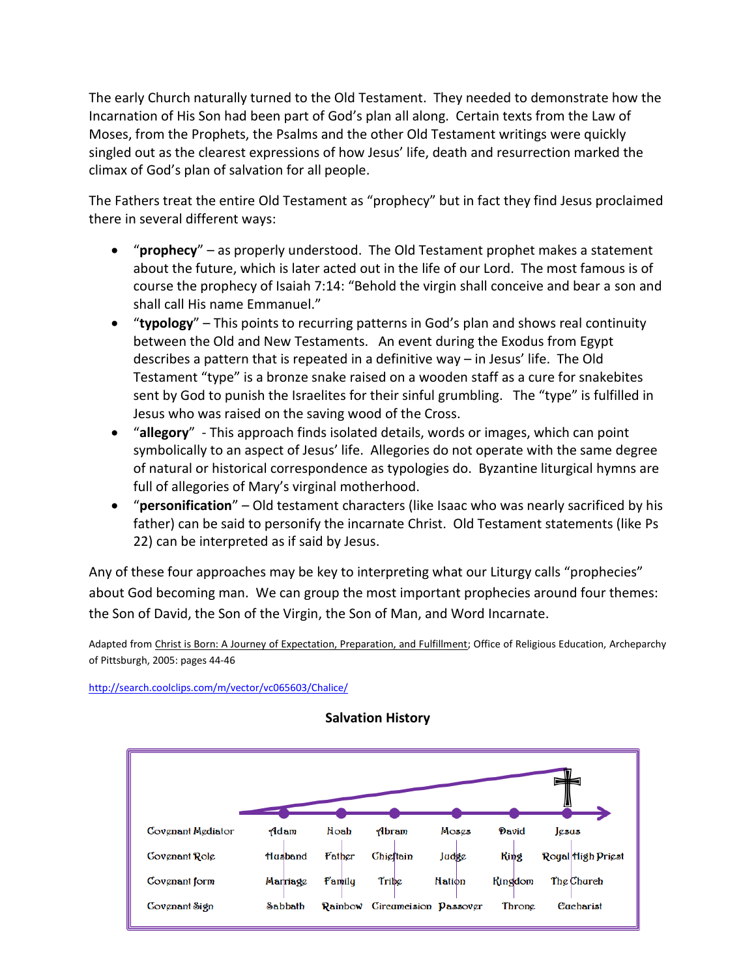The early Church naturally turned to the Old Testament. They needed to demonstrate how the Incarnation of His Son had been part of God's plan all along. Certain texts from the Law of Moses, from the Prophets, the Psalms and the other Old Testament writings were quickly singled out as the clearest expressions of how Jesus' life, death and resurrection marked the climax of God's plan of salvation for all people.

The Fathers treat the entire Old Testament as "prophecy" but in fact they find Jesus proclaimed there in several different ways:

- "**prophecy**" as properly understood. The Old Testament prophet makes a statement about the future, which is later acted out in the life of our Lord. The most famous is of course the prophecy of Isaiah 7:14: "Behold the virgin shall conceive and bear a son and shall call His name Emmanuel."
- "**typology**" This points to recurring patterns in God's plan and shows real continuity between the Old and New Testaments. An event during the Exodus from Egypt describes a pattern that is repeated in a definitive way – in Jesus' life. The Old Testament "type" is a bronze snake raised on a wooden staff as a cure for snakebites sent by God to punish the Israelites for their sinful grumbling. The "type" is fulfilled in Jesus who was raised on the saving wood of the Cross.
- "**allegory**" This approach finds isolated details, words or images, which can point symbolically to an aspect of Jesus' life. Allegories do not operate with the same degree of natural or historical correspondence as typologies do. Byzantine liturgical hymns are full of allegories of Mary's virginal motherhood.
- "**personification**" Old testament characters (like Isaac who was nearly sacrificed by his father) can be said to personify the incarnate Christ. Old Testament statements (like Ps 22) can be interpreted as if said by Jesus.

Any of these four approaches may be key to interpreting what our Liturgy calls "prophecies" about God becoming man. We can group the most important prophecies around four themes: the Son of David, the Son of the Virgin, the Son of Man, and Word Incarnate.

Adapted from Christ is Born: A Journey of Expectation, Preparation, and Fulfillment; Office of Religious Education, Archeparchy of Pittsburgh, 2005: pages 44-46

<http://search.coolclips.com/m/vector/vc065603/Chalice/>



**Salvation History**